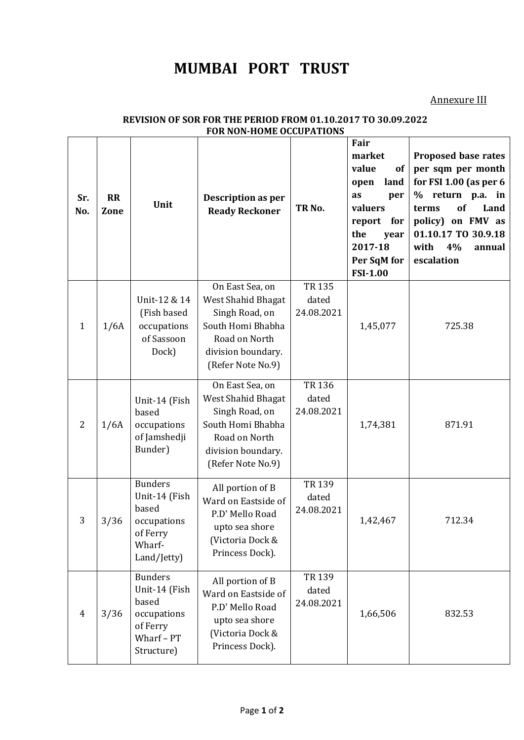## **MUMBAI PORT TRUST**

Annexure III

| Sr.<br>No.   | <b>RR</b><br>Zone | Unit                                                                                            | Description as per<br><b>Ready Reckoner</b>                                                                                              | TR <sub>No.</sub>                   | Fair<br>market<br>value<br>of<br>land<br>open<br>as<br>per<br>valuers<br>report<br>for<br>the<br>year<br>2017-18<br>Per SqM for<br><b>FSI-1.00</b> | Proposed base rates<br>per sqm per month<br>for FSI 1.00 (as per 6<br>% return p.a. in<br>of<br>Land<br>terms<br>policy) on FMV as<br>01.10.17 TO 30.9.18<br>with<br>4%<br>annual<br>escalation |
|--------------|-------------------|-------------------------------------------------------------------------------------------------|------------------------------------------------------------------------------------------------------------------------------------------|-------------------------------------|----------------------------------------------------------------------------------------------------------------------------------------------------|-------------------------------------------------------------------------------------------------------------------------------------------------------------------------------------------------|
| $\mathbf{1}$ | 1/6A              | Unit-12 & 14<br>(Fish based<br>occupations<br>of Sassoon<br>Dock)                               | On East Sea, on<br>West Shahid Bhagat<br>Singh Road, on<br>South Homi Bhabha<br>Road on North<br>division boundary.<br>(Refer Note No.9) | <b>TR135</b><br>dated<br>24.08.2021 | 1,45,077                                                                                                                                           | 725.38                                                                                                                                                                                          |
| 2            | 1/6A              | Unit-14 (Fish<br>based<br>occupations<br>of Jamshedji<br>Bunder)                                | On East Sea, on<br>West Shahid Bhagat<br>Singh Road, on<br>South Homi Bhabha<br>Road on North<br>division boundary.<br>(Refer Note No.9) | <b>TR136</b><br>dated<br>24.08.2021 | 1,74,381                                                                                                                                           | 871.91                                                                                                                                                                                          |
| 3            | 3/36              | <b>Bunders</b><br>Unit-14 (Fish<br>based<br>occupations<br>of Ferry<br>Wharf-<br>Land/Jetty)    | All portion of B<br>Ward on Eastside of<br>P.D' Mello Road<br>upto sea shore<br>(Victoria Dock &<br>Princess Dock).                      | <b>TR139</b><br>dated<br>24.08.2021 | 1,42,467                                                                                                                                           | 712.34                                                                                                                                                                                          |
| 4            | 3/36              | <b>Bunders</b><br>Unit-14 (Fish<br>based<br>occupations<br>of Ferry<br>Wharf - PT<br>Structure) | All portion of B<br>Ward on Eastside of<br>P.D' Mello Road<br>upto sea shore<br>(Victoria Dock &<br>Princess Dock).                      | TR 139<br>dated<br>24.08.2021       | 1,66,506                                                                                                                                           | 832.53                                                                                                                                                                                          |

## **REVISION OF SOR FOR THE PERIOD FROM 01.10.2017 TO 30.09.2022 FOR NON-HOME OCCUPATIONS**